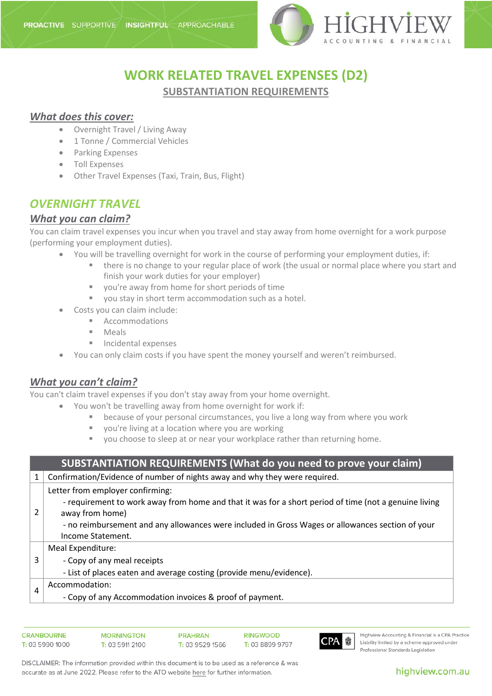

## **WORK RELATED TRAVEL EXPENSES (D2) SUBSTANTIATION REQUIREMENTS**

### *What does this cover:*

- Overnight Travel / Living Away
- 1 Tonne / Commercial Vehicles
- Parking Expenses
- Toll Expenses
- Other Travel Expenses (Taxi, Train, Bus, Flight)

## *OVERNIGHT TRAVEL*

### *What you can claim?*

You can claim travel expenses you incur when you travel and stay away from home overnight for a work purpose (performing your employment duties).

- You will be travelling overnight for work in the course of performing your employment duties, if:
	- **there is no change to your regular place of work (the usual or normal place where you start and** finish your work duties for your employer)
	- vou're away from home for short periods of time
	- vou stay in short term accommodation such as a hotel.
	- Costs you can claim include:
		- Accommodations
		- Meals
		- Incidental expenses
- You can only claim costs if you have spent the money yourself and weren't reimbursed.

### *What you can't claim?*

You can't claim travel expenses if you don't stay away from your home overnight.

- You won't be travelling away from home overnight for work if:
	- because of your personal circumstances, you live a long way from where you work
	- you're [living at a location](https://www.ato.gov.au/Individuals/Income-and-deductions/Deductions-you-can-claim/Transport-and-travel-expenses/Travel-expenses/#Livingatalocation) where you are working
	- you choose to sleep at or near your workplace rather than returning home.

| <b>SUBSTANTIATION REQUIREMENTS (What do you need to prove your claim)</b> |                                                                                                                                                                                                                                                                                       |
|---------------------------------------------------------------------------|---------------------------------------------------------------------------------------------------------------------------------------------------------------------------------------------------------------------------------------------------------------------------------------|
|                                                                           | Confirmation/Evidence of number of nights away and why they were required.                                                                                                                                                                                                            |
|                                                                           | Letter from employer confirming:<br>- requirement to work away from home and that it was for a short period of time (not a genuine living<br>away from home)<br>- no reimbursement and any allowances were included in Gross Wages or allowances section of your<br>Income Statement. |
| 3                                                                         | Meal Expenditure:<br>- Copy of any meal receipts<br>- List of places eaten and average costing (provide menu/evidence).                                                                                                                                                               |
| 4                                                                         | Accommodation:<br>- Copy of any Accommodation invoices & proof of payment.                                                                                                                                                                                                            |

**CRANROURNE MORNINGTON PRAHRAN RINGWOOD** T: 03 8899 9797 T: 03 5990 1000 T: 03 5911 2100 T: 03 9529 1566



Highview Accounting & Financial is a CPA Practice Liability limited by a scheme approved under Professional Standards Legislation

DISCLAIMER: The information provided within this document is to be used as a reference & was accurate as at June 2022. Please refer to the ATO website here for further information.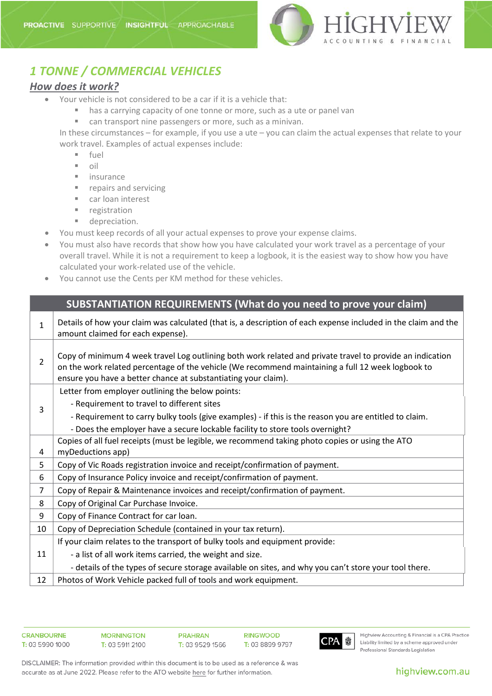

# *1 TONNE / COMMERCIAL VEHICLES*

### *How does it work?*

- Your vehicle is not considered to be a car if it is a vehicle that:
	- has a carrying capacity of one tonne or more, such as a ute or panel van
	- can transport nine passengers or more, such as a minivan.

In these circumstances – for example, if you use a ute – you can claim the actual expenses that relate to your work travel. Examples of actual expenses include:

- $-$  fuel
- $\blacksquare$  oil
- $\blacksquare$  insurance
- **repairs and servicing**
- car loan interest
- **registration**
- **depreciation.**
- You must keep records of all your actual expenses to prove your expense claims.
- You must also have records that show how you have calculated your work travel as a percentage of your overall travel. While it is not a requirement to keep a logbook, it is the easiest way to show how you have calculated your work-related use of the vehicle.
- You cannot use the Cents per KM method for these vehicles.

### **SUBSTANTIATION REQUIREMENTS (What do you need to prove your claim)**

| 1              | Details of how your claim was calculated (that is, a description of each expense included in the claim and the<br>amount claimed for each expense).                                                                                                                              |
|----------------|----------------------------------------------------------------------------------------------------------------------------------------------------------------------------------------------------------------------------------------------------------------------------------|
| $\overline{2}$ | Copy of minimum 4 week travel Log outlining both work related and private travel to provide an indication<br>on the work related percentage of the vehicle (We recommend maintaining a full 12 week logbook to<br>ensure you have a better chance at substantiating your claim). |
|                | Letter from employer outlining the below points:                                                                                                                                                                                                                                 |
| 3              | - Requirement to travel to different sites                                                                                                                                                                                                                                       |
|                | - Requirement to carry bulky tools (give examples) - if this is the reason you are entitled to claim.                                                                                                                                                                            |
|                | - Does the employer have a secure lockable facility to store tools overnight?                                                                                                                                                                                                    |
|                | Copies of all fuel receipts (must be legible, we recommend taking photo copies or using the ATO                                                                                                                                                                                  |
| 4              | myDeductions app)                                                                                                                                                                                                                                                                |
| 5              | Copy of Vic Roads registration invoice and receipt/confirmation of payment.                                                                                                                                                                                                      |
| 6              | Copy of Insurance Policy invoice and receipt/confirmation of payment.                                                                                                                                                                                                            |
| 7              | Copy of Repair & Maintenance invoices and receipt/confirmation of payment.                                                                                                                                                                                                       |
| 8              | Copy of Original Car Purchase Invoice.                                                                                                                                                                                                                                           |
| 9              | Copy of Finance Contract for car loan.                                                                                                                                                                                                                                           |
| 10             | Copy of Depreciation Schedule (contained in your tax return).                                                                                                                                                                                                                    |
|                | If your claim relates to the transport of bulky tools and equipment provide:                                                                                                                                                                                                     |
| 11             | - a list of all work items carried, the weight and size.                                                                                                                                                                                                                         |
|                | - details of the types of secure storage available on sites, and why you can't store your tool there.                                                                                                                                                                            |
| 12             | Photos of Work Vehicle packed full of tools and work equipment.                                                                                                                                                                                                                  |



Highview Accounting & Financial is a CPA Practice Liability limited by a scheme approved under Professional Standards Legislation

DISCLAIMER: The information provided within this document is to be used as a reference & was accurate as at June 2022. Please refer to the ATO website here for further information.